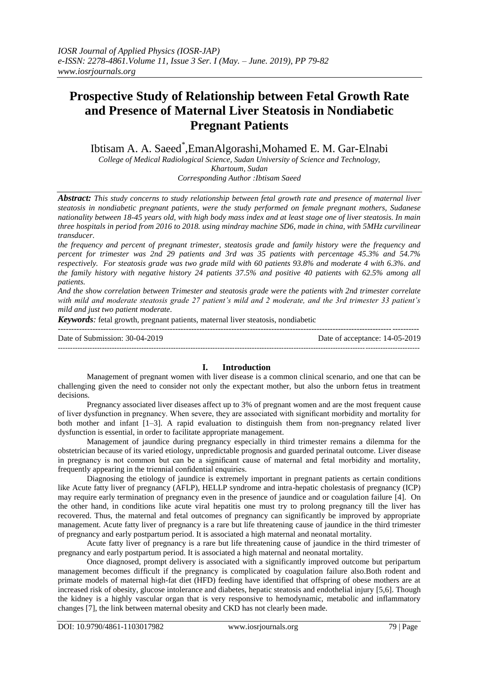# **Prospective Study of Relationship between Fetal Growth Rate and Presence of Maternal Liver Steatosis in Nondiabetic Pregnant Patients**

Ibtisam A. A. Saeed\* ,EmanAlgorashi,Mohamed E. M. Gar-Elnabi

*College of Medical Radiological Science, Sudan University of Science and Technology, Khartoum, Sudan Corresponding Author :Ibtisam Saeed*

*Abstract: This study concerns to study relationship between fetal growth rate and presence of maternal liver steatosis in nondiabetic pregnant patients, were the study performed on female pregnant mothers, Sudanese nationality between 18-45 years old, with high body mass index and at least stage one of liver steatosis. In main three hospitals in period from 2016 to 2018. using mindray machine SD6, made in china, with 5MHz curvilinear transducer.*

*the frequency and percent of pregnant trimester, steatosis grade and family history were the frequency and percent for trimester was 2nd 29 patients and 3rd was 35 patients with percentage 45.3% and 54.7% respectively. For steatosis grade was two grade mild with 60 patients 93.8% and moderate 4 with 6.3%. and the family history with negative history 24 patients 37.5% and positive 40 patients with 62.5% among all patients.*

*And the show correlation between Trimester and steatosis grade were the patients with 2nd trimester correlate with mild and moderate steatosis grade 27 patient's mild and 2 moderate, and the 3rd trimester 33 patient's mild and just two patient moderate.*

*Keywords:* fetal growth, pregnant patients, maternal liver steatosis, nondiabetic

| Date of Submission: 30-04-2019 | Date of acceptance: 14-05-2019 |
|--------------------------------|--------------------------------|
|                                |                                |

## **I. Introduction**

Management of pregnant women with liver disease is a common clinical scenario, and one that can be challenging given the need to consider not only the expectant mother, but also the unborn fetus in treatment decisions.

Pregnancy associated liver diseases affect up to 3% of pregnant women and are the most frequent cause of liver dysfunction in pregnancy. When severe, they are associated with significant morbidity and mortality for both mother and infant [1–3]. A rapid evaluation to distinguish them from non-pregnancy related liver dysfunction is essential, in order to facilitate appropriate management.

Management of jaundice during pregnancy especially in third trimester remains a dilemma for the obstetrician because of its varied etiology, unpredictable prognosis and guarded perinatal outcome. Liver disease in pregnancy is not common but can be a significant cause of maternal and fetal morbidity and mortality, frequently appearing in the triennial confidential enquiries.

Diagnosing the etiology of jaundice is extremely important in pregnant patients as certain conditions like Acute fatty liver of pregnancy (AFLP), HELLP syndrome and intra-hepatic cholestasis of pregnancy (ICP) may require early termination of pregnancy even in the presence of jaundice and or coagulation failure [4]. On the other hand, in conditions like acute viral hepatitis one must try to prolong pregnancy till the liver has recovered. Thus, the maternal and fetal outcomes of pregnancy can significantly be improved by appropriate management. Acute fatty liver of pregnancy is a rare but life threatening cause of jaundice in the third trimester of pregnancy and early postpartum period. It is associated a high maternal and neonatal mortality.

Acute fatty liver of pregnancy is a rare but life threatening cause of jaundice in the third trimester of pregnancy and early postpartum period. It is associated a high maternal and neonatal mortality.

Once diagnosed, prompt delivery is associated with a significantly improved outcome but peripartum management becomes difficult if the pregnancy is complicated by coagulation failure also.Both rodent and primate models of maternal high-fat diet (HFD) feeding have identified that offspring of obese mothers are at increased risk of obesity, glucose intolerance and diabetes, hepatic steatosis and endothelial injury [5,6]. Though the kidney is a highly vascular organ that is very responsive to hemodynamic, metabolic and inflammatory changes [7], the link between maternal obesity and CKD has not clearly been made.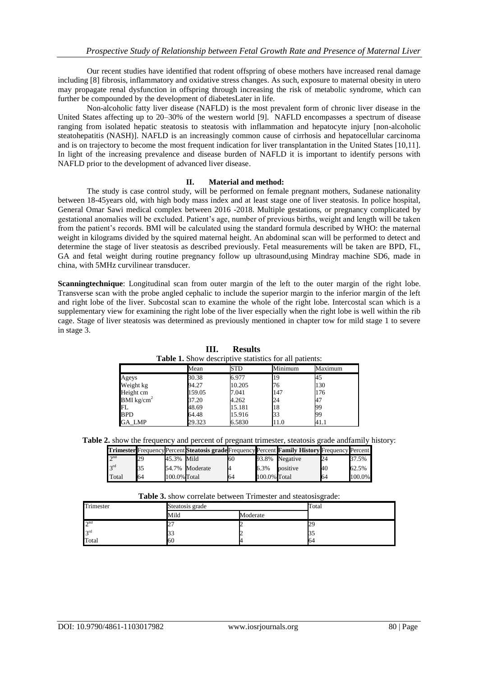Our recent studies have identified that rodent offspring of obese mothers have increased renal damage including [8] fibrosis, inflammatory and oxidative stress changes. As such, exposure to maternal obesity in utero may propagate renal dysfunction in offspring through increasing the risk of metabolic syndrome, which can further be compounded by the development of diabetesLater in life.

Non-alcoholic fatty liver disease (NAFLD) is the most prevalent form of chronic liver disease in the United States affecting up to 20–30% of the western world [9]. NAFLD encompasses a spectrum of disease ranging from isolated hepatic steatosis to steatosis with inflammation and hepatocyte injury [non-alcoholic steatohepatitis (NASH)]. NAFLD is an increasingly common cause of cirrhosis and hepatocellular carcinoma and is on trajectory to become the most frequent indication for liver transplantation in the United States [10,11]. In light of the increasing prevalence and disease burden of NAFLD it is important to identify persons with NAFLD prior to the development of advanced liver disease.

### **II. Material and method:**

The study is case control study, will be performed on female pregnant mothers, Sudanese nationality between 18-45years old, with high body mass index and at least stage one of liver steatosis. In police hospital, General Omar Sawi medical complex between 2016 -2018. Multiple gestations, or pregnancy complicated by gestational anomalies will be excluded. Patient's age, number of previous births, weight and length will be taken from the patient's records. BMI will be calculated using the standard formula described by WHO: the maternal weight in kilograms divided by the squired maternal height. An abdominal scan will be performed to detect and determine the stage of liver steatosis as described previously. Fetal measurements will be taken are BPD, FL, GA and fetal weight during routine pregnancy follow up ultrasound,using Mindray machine SD6, made in china, with 5MHz curvilinear transducer.

**Scanningtechnique**: Longitudinal scan from outer margin of the left to the outer margin of the right lobe. Transverse scan with the probe angled cephalic to include the superior margin to the inferior margin of the left and right lobe of the liver. Subcostal scan to examine the whole of the right lobe. Intercostal scan which is a supplementary view for examining the right lobe of the liver especially when the right lobe is well within the rib cage. Stage of liver steatosis was determined as previously mentioned in chapter tow for mild stage 1 to severe in stage 3.

| <b>Table 1.</b> Show descriptive statistics for all patients: |        |        |         |         |  |
|---------------------------------------------------------------|--------|--------|---------|---------|--|
|                                                               | Mean   | STD    | Minimum | Maximum |  |
| Ageys                                                         | 30.38  | 6.977  | 19      | 45      |  |
| Weight kg                                                     | 94.27  | 10.205 | 76      | 130     |  |
| Height cm                                                     | 159.05 | 7.041  | 147     | 176     |  |
| BMI $kg/cm2$                                                  | 37.20  | 4.262  | 24      |         |  |
| FL                                                            | 48.69  | 15.181 | 18      | 99      |  |
| <b>BPD</b>                                                    | 64.48  | 15.916 | 33      | 99      |  |
| GA_LMP                                                        | 29.323 | 6.5830 | 11.0    | 41.1    |  |

**III. Results Table 1.** Show descriptive statistics for all patients:

**Table 2.** show the frequency and percent of pregnant trimester, steatosis grade andfamily history:

|              |    |              |                |    |              | <b>Trimester</b> Frequency Percent Steatosis grade Frequency Percent Family History Frequency Percent |    |        |
|--------------|----|--------------|----------------|----|--------------|-------------------------------------------------------------------------------------------------------|----|--------|
| $\lambda$ nd | 29 | 45.3% Mild   |                | 60 |              | 93.8% Negative                                                                                        |    | 37.5%  |
| 2rd          |    |              | 54.7% Moderate |    | 6.3%         | positive                                                                                              | 40 | 62.5%  |
| Total        | 64 | 100.0% Total |                | 64 | 100.0% Total |                                                                                                       | 64 | 100.0% |

| Table 3. show correlate between Trimester and steatosisgrade: |  |  |
|---------------------------------------------------------------|--|--|
|---------------------------------------------------------------|--|--|

| $-$ which is a construction of the contract of the contract of the contract of the contract of the contract of the contract of the contract of the contract of the contract of the contract of the contract of the contract o |            |          |       |  |  |
|-------------------------------------------------------------------------------------------------------------------------------------------------------------------------------------------------------------------------------|------------|----------|-------|--|--|
| Trimester<br>Steatosis grade                                                                                                                                                                                                  |            |          | Total |  |  |
|                                                                                                                                                                                                                               | Mild       | Moderate |       |  |  |
| $2^{nd}$                                                                                                                                                                                                                      | ∸          |          |       |  |  |
| 3 <sup>rd</sup>                                                                                                                                                                                                               |            |          |       |  |  |
| Total                                                                                                                                                                                                                         | <b>160</b> |          | Ю4    |  |  |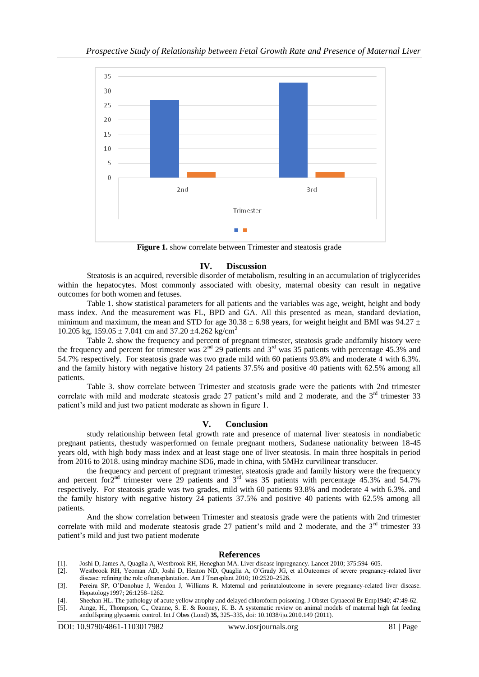

**Figure 1.** show correlate between Trimester and steatosis grade

### **IV. Discussion**

Steatosis is an acquired, reversible disorder of metabolism, resulting in an accumulation of triglycerides within the hepatocytes. Most commonly associated with obesity, maternal obesity can result in negative outcomes for both women and fetuses.

Table 1. show statistical parameters for all patients and the variables was age, weight, height and body mass index. And the measurement was FL, BPD and GA. All this presented as mean, standard deviation, minimum and maximum, the mean and STD for age 30.38  $\pm$  6.98 years, for weight height and BMI was 94.27  $\pm$ 10.205 kg,  $159.05 \pm 7.041$  cm and  $37.20 \pm 4.262$  kg/cm<sup>2</sup>

Table 2. show the frequency and percent of pregnant trimester, steatosis grade andfamily history were the frequency and percent for trimester was  $2<sup>nd</sup>$  29 patients and  $3<sup>rd</sup>$  was 35 patients with percentage 45.3% and 54.7% respectively. For steatosis grade was two grade mild with 60 patients 93.8% and moderate 4 with 6.3%. and the family history with negative history 24 patients 37.5% and positive 40 patients with 62.5% among all patients.

Table 3. show correlate between Trimester and steatosis grade were the patients with 2nd trimester correlate with mild and moderate steatosis grade 27 patient's mild and 2 moderate, and the 3<sup>rd</sup> trimester 33 patient's mild and just two patient moderate as shown in figure 1.

### **V. Conclusion**

study relationship between fetal growth rate and presence of maternal liver steatosis in nondiabetic pregnant patients, thestudy wasperformed on female pregnant mothers, Sudanese nationality between 18-45 years old, with high body mass index and at least stage one of liver steatosis. In main three hospitals in period from 2016 to 2018. using mindray machine SD6, made in china, with 5MHz curvilinear transducer.

the frequency and percent of pregnant trimester, steatosis grade and family history were the frequency and percent for $2<sup>nd</sup>$  trimester were 29 patients and  $3<sup>rd</sup>$  was 35 patients with percentage 45.3% and 54.7% respectively. For steatosis grade was two grades, mild with 60 patients 93.8% and moderate 4 with 6.3%. and the family history with negative history 24 patients 37.5% and positive 40 patients with 62.5% among all patients.

And the show correlation between Trimester and steatosis grade were the patients with 2nd trimester correlate with mild and moderate steatosis grade 27 patient's mild and 2 moderate, and the  $3<sup>rd</sup>$  trimester 33 patient's mild and just two patient moderate

### **References**

- [1]. Joshi D, James A, Quaglia A, Westbrook RH, Heneghan MA. Liver disease inpregnancy. Lancet 2010; 375:594–605.
- [2]. Westbrook RH, Yeoman AD, Joshi D, Heaton ND, Quaglia A, O'Grady JG, et al.Outcomes of severe pregnancy-related liver
- disease: refining the role oftransplantation. Am J Transplant 2010; 10:2520–2526. [3]. Pereira SP, O'Donohue J, Wendon J, Williams R. Maternal and perinataloutcome in severe pregnancy-related liver disease.
- Hepatology1997; 26:1258–1262.
- [4]. Sheehan HL. The pathology of acute yellow atrophy and delayed chloroform poisoning. J Obstet Gynaecol Br Emp1940; 47:49-62.
- [5]. Ainge, H., Thompson, C., Ozanne, S. E. & Rooney, K. B. A systematic review on animal models of maternal high fat feeding andoffspring glycaemic control. Int J Obes (Lond) **35,** 325–335, doi: 10.1038/ijo.2010.149 (2011).